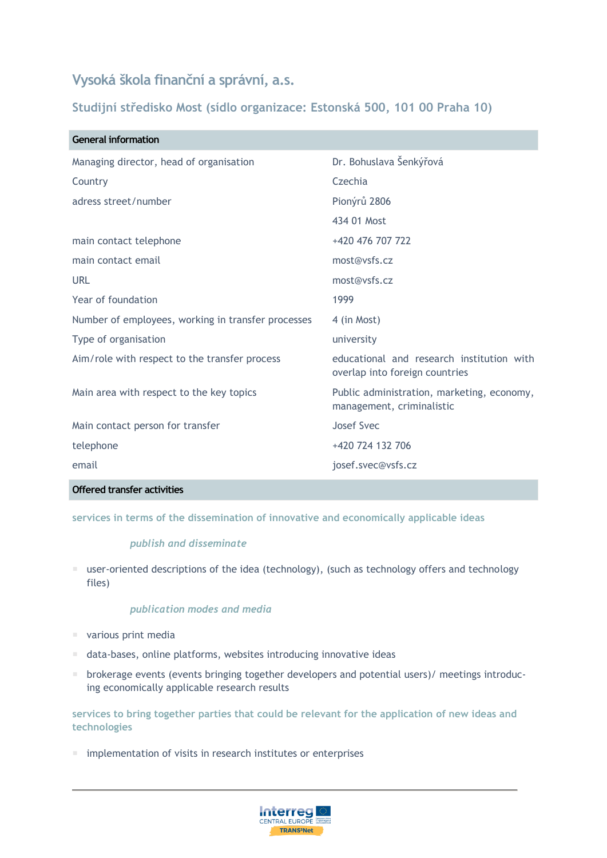# **Vysoká škola finanční a správní, a.s.**

**Studijní středisko Most (sídlo organizace: Estonská 500, 101 00 Praha 10)**

| <b>General information</b>                         |                                                                             |
|----------------------------------------------------|-----------------------------------------------------------------------------|
| Managing director, head of organisation            | Dr. Bohuslava Šenkýřová                                                     |
| Country                                            | Czechia                                                                     |
| adress street/number                               | Pionýrů 2806                                                                |
|                                                    | 434 01 Most                                                                 |
| main contact telephone                             | +420 476 707 722                                                            |
| main contact email                                 | most@vsfs.cz                                                                |
| URL                                                | most@vsfs.cz                                                                |
| Year of foundation                                 | 1999                                                                        |
| Number of employees, working in transfer processes | 4 (in Most)                                                                 |
| Type of organisation                               | university                                                                  |
| Aim/role with respect to the transfer process      | educational and research institution with<br>overlap into foreign countries |
| Main area with respect to the key topics           | Public administration, marketing, economy,<br>management, criminalistic     |
| Main contact person for transfer                   | Josef Svec                                                                  |
| telephone                                          | +420 724 132 706                                                            |
| email                                              | josef.svec@vsfs.cz                                                          |
|                                                    |                                                                             |

# **Offered transfer activities**

**services in terms of the dissemination of innovative and economically applicable ideas**

## *publish and disseminate*

 $\blacksquare$  user-oriented descriptions of the idea (technology), (such as technology offers and technology files)

# *publication modes and media*

- various print media
- data-bases, online platforms, websites introducing innovative ideas
- **•** brokerage events (events bringing together developers and potential users)/ meetings introducing economically applicable research results

**services to bring together parties that could be relevant for the application of new ideas and technologies**

implementation of visits in research institutes or enterprises

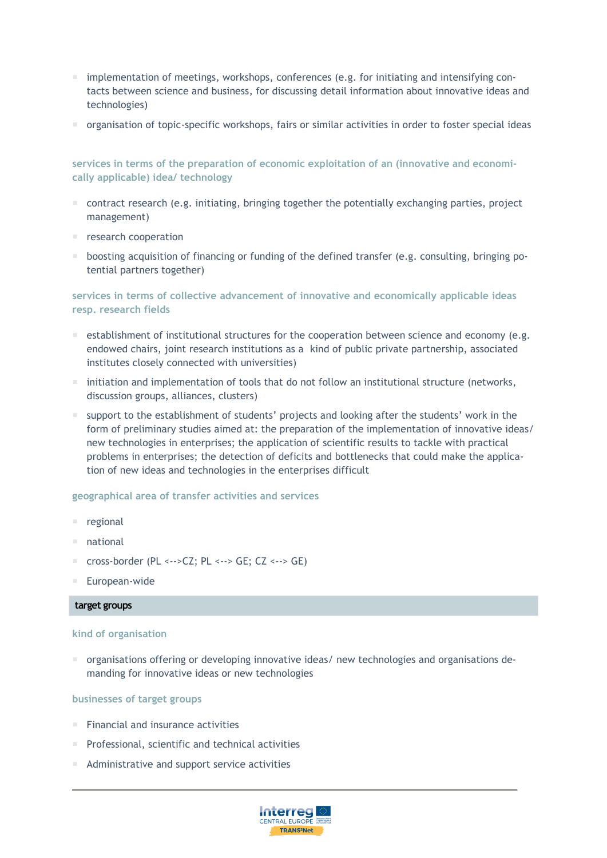- $\blacksquare$  implementation of meetings, workshops, conferences (e.g. for initiating and intensifying contacts between science and business, for discussing detail information about innovative ideas and technologies)
- organisation of topic-specific workshops, fairs or similar activities in order to foster special ideas

**services in terms of the preparation of economic exploitation of an (innovative and economically applicable) idea/ technology**

- $\blacksquare$  contract research (e.g. initiating, bringing together the potentially exchanging parties, project management)
- **F** research cooperation
- **boosting acquisition of financing or funding of the defined transfer (e.g. consulting, bringing po**tential partners together)

# **services in terms of collective advancement of innovative and economically applicable ideas resp. research fields**

- $\blacksquare$  establishment of institutional structures for the cooperation between science and economy (e.g. endowed chairs, joint research institutions as a kind of public private partnership, associated institutes closely connected with universities)
- $\blacksquare$  initiation and implementation of tools that do not follow an institutional structure (networks, discussion groups, alliances, clusters)
- support to the establishment of students' projects and looking after the students' work in the form of preliminary studies aimed at: the preparation of the implementation of innovative ideas/ new technologies in enterprises; the application of scientific results to tackle with practical problems in enterprises; the detection of deficits and bottlenecks that could make the application of new ideas and technologies in the enterprises difficult

# **geographical area of transfer activities and services**

- regional
- national
- cross-border (PL <-->CZ; PL <--> GE; CZ <--> GE)
- European-wide

## **target groups**

## **kind of organisation**

organisations offering or developing innovative ideas/ new technologies and organisations demanding for innovative ideas or new technologies

## **businesses of target groups**

- $F$  Financial and insurance activities
- Professional, scientific and technical activities
- Administrative and support service activities